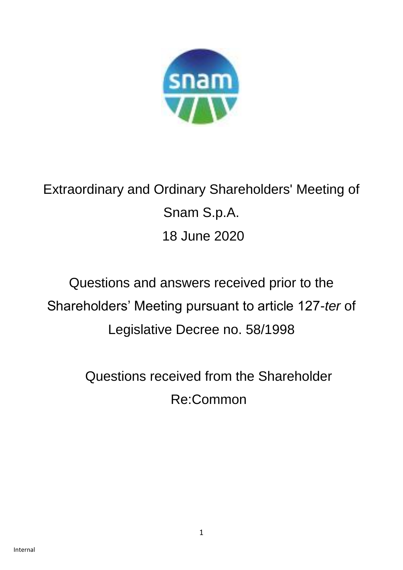

Extraordinary and Ordinary Shareholders' Meeting of Snam S.p.A. 18 June 2020

# Questions and answers received prior to the Shareholders' Meeting pursuant to article 127-*ter* of Legislative Decree no. 58/1998

Questions received from the Shareholder Re:Common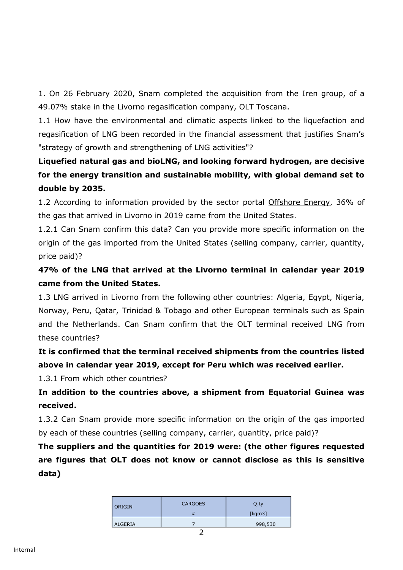1. On 26 February 2020, Snam [completed the acquisition](https://www.snam.it/it/media/comunicati-stampa/2020/Snam_Gruppo_Iren_conclusa_compravendita_del_rigassificatore_Olt.html) from the Iren group, of a 49.07% stake in the Livorno regasification company, OLT Toscana.

1.1 How have the environmental and climatic aspects linked to the liquefaction and regasification of LNG been recorded in the financial assessment that justifies Snam's "strategy of growth and strengthening of LNG activities"?

# **Liquefied natural gas and bioLNG, and looking forward hydrogen, are decisive for the energy transition and sustainable mobility, with global demand set to double by 2035.**

1.2 According to information provided by the sector portal [Offshore Energy,](https://www.offshore-energy.biz/olt-offshores-fsru-toscana-capacity-fully-booked/?utm_source=emark&utm_medium=email&utm_campaign=daily-update-lng-world-news-2019-09-12&uid=52896) 36% of the gas that arrived in Livorno in 2019 came from the United States.

1.2.1 Can Snam confirm this data? Can you provide more specific information on the origin of the gas imported from the United States (selling company, carrier, quantity, price paid)?

**47% of the LNG that arrived at the Livorno terminal in calendar year 2019 came from the United States.**

1.3 LNG arrived in Livorno from the following other countries: Algeria, Egypt, Nigeria, Norway, Peru, Qatar, Trinidad & Tobago and other European terminals such as Spain and the Netherlands. Can Snam confirm that the OLT terminal received LNG from these countries?

**It is confirmed that the terminal received shipments from the countries listed above in calendar year 2019, except for Peru which was received earlier.**

1.3.1 From which other countries?

**In addition to the countries above, a shipment from Equatorial Guinea was received.**

1.3.2 Can Snam provide more specific information on the origin of the gas imported by each of these countries (selling company, carrier, quantity, price paid)?

**The suppliers and the quantities for 2019 were: (the other figures requested are figures that OLT does not know or cannot disclose as this is sensitive data)** 

| <b>ORIGIN</b> | <b>CARGOES</b> | Q.ty<br>$[$ ligm $3]$ |
|---------------|----------------|-----------------------|
| ALGERIA       |                | 998,530               |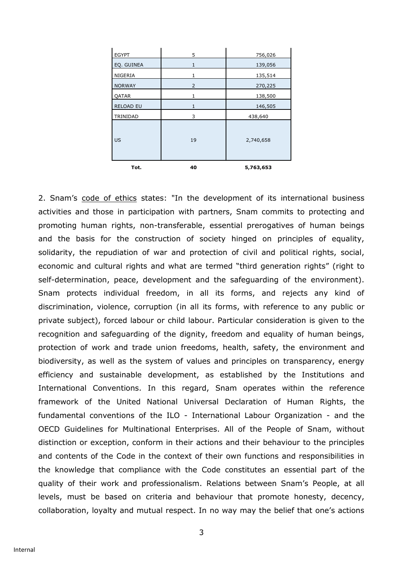| <b>EGYPT</b>     | 5  | 756,026   |
|------------------|----|-----------|
| EQ. GUINEA       | 1  | 139,056   |
| NIGERIA          | 1  | 135,514   |
| <b>NORWAY</b>    | 2  | 270,225   |
| <b>QATAR</b>     | 1  | 138,500   |
| <b>RELOAD EU</b> | 1  | 146,505   |
| TRINIDAD         | 3  | 438,640   |
| <b>US</b>        | 19 | 2,740,658 |
| Tot.             | 40 | 5,763,653 |

2. Snam's [code of ethics](https://www.snam.it/export/sites/snam-rp/repository/file/Governance/codice-etico/Codice_Etico.pdf) states: "In the development of its international business activities and those in participation with partners, Snam commits to protecting and promoting human rights, non-transferable, essential prerogatives of human beings and the basis for the construction of society hinged on principles of equality, solidarity, the repudiation of war and protection of civil and political rights, social, economic and cultural rights and what are termed "third generation rights" (right to self-determination, peace, development and the safeguarding of the environment). Snam protects individual freedom, in all its forms, and rejects any kind of discrimination, violence, corruption (in all its forms, with reference to any public or private subject), forced labour or child labour. Particular consideration is given to the recognition and safeguarding of the dignity, freedom and equality of human beings, protection of work and trade union freedoms, health, safety, the environment and biodiversity, as well as the system of values and principles on transparency, energy efficiency and sustainable development, as established by the Institutions and International Conventions. In this regard, Snam operates within the reference framework of the United National Universal Declaration of Human Rights, the fundamental conventions of the ILO - International Labour Organization - and the OECD Guidelines for Multinational Enterprises. All of the People of Snam, without distinction or exception, conform in their actions and their behaviour to the principles and contents of the Code in the context of their own functions and responsibilities in the knowledge that compliance with the Code constitutes an essential part of the quality of their work and professionalism. Relations between Snam's People, at all levels, must be based on criteria and behaviour that promote honesty, decency, collaboration, loyalty and mutual respect. In no way may the belief that one's actions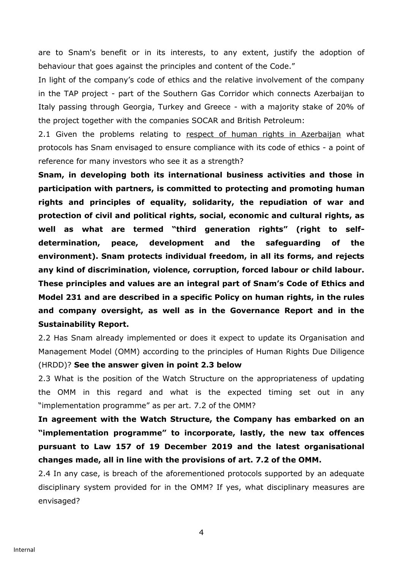are to Snam's benefit or in its interests, to any extent, justify the adoption of behaviour that goes against the principles and content of the Code."

In light of the company's code of ethics and the relative involvement of the company in the TAP project - part of the Southern Gas Corridor which connects Azerbaijan to Italy passing through Georgia, Turkey and Greece - with a majority stake of 20% of the project together with the companies SOCAR and British Petroleum:

2.1 Given the problems relating to [respect of human rights in Azerbaijan](https://www.amnesty.it/rapporti-annuali/rapporto-2019-2020/europa-e-asia-centrale/azerbaigian/%20;%20https:/www.europarl.europa.eu/doceo/document/TA-8-2019-0033_IT.html) what protocols has Snam envisaged to ensure compliance with its code of ethics - a point of reference for many investors who see it as a strength?

**Snam, in developing both its international business activities and those in participation with partners, is committed to protecting and promoting human rights and principles of equality, solidarity, the repudiation of war and protection of civil and political rights, social, economic and cultural rights, as well as what are termed "third generation rights" (right to selfdetermination, peace, development and the safeguarding of the environment). Snam protects individual freedom, in all its forms, and rejects any kind of discrimination, violence, corruption, forced labour or child labour. These principles and values are an integral part of Snam's Code of Ethics and Model 231 and are described in a specific Policy on human rights, in the rules and company oversight, as well as in the Governance Report and in the Sustainability Report.**

2.2 Has Snam already implemented or does it expect to update its Organisation and Management Model (OMM) according to the principles of Human Rights Due Diligence

### (HRDD)? **See the answer given in point 2.3 below**

2.3 What is the position of the Watch Structure on the appropriateness of updating the OMM in this regard and what is the expected timing set out in any "implementation programme" as per art. 7.2 of the OMM?

**In agreement with the Watch Structure, the Company has embarked on an "implementation programme" to incorporate, lastly, the new tax offences pursuant to Law 157 of 19 December 2019 and the latest organisational changes made, all in line with the provisions of art. 7.2 of the OMM.**

2.4 In any case, is breach of the aforementioned protocols supported by an adequate disciplinary system provided for in the OMM? If yes, what disciplinary measures are envisaged?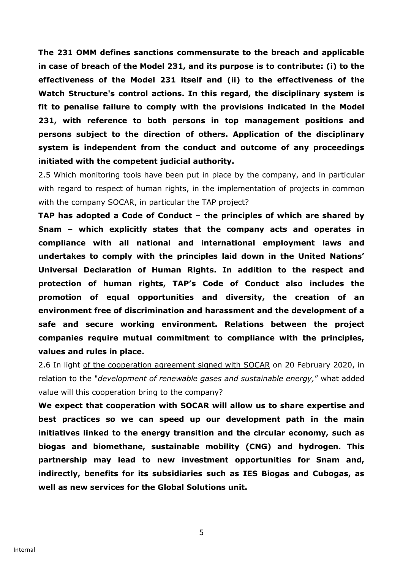**The 231 OMM defines sanctions commensurate to the breach and applicable in case of breach of the Model 231, and its purpose is to contribute: (i) to the effectiveness of the Model 231 itself and (ii) to the effectiveness of the Watch Structure's control actions. In this regard, the disciplinary system is fit to penalise failure to comply with the provisions indicated in the Model 231, with reference to both persons in top management positions and persons subject to the direction of others. Application of the disciplinary system is independent from the conduct and outcome of any proceedings initiated with the competent judicial authority.** 

2.5 Which monitoring tools have been put in place by the company, and in particular with regard to respect of human rights, in the implementation of projects in common with the company SOCAR, in particular the TAP project?

**TAP has adopted a Code of Conduct – the principles of which are shared by Snam – which explicitly states that the company acts and operates in compliance with all national and international employment laws and undertakes to comply with the principles laid down in the United Nations' Universal Declaration of Human Rights. In addition to the respect and protection of human rights, TAP's Code of Conduct also includes the promotion of equal opportunities and diversity, the creation of an environment free of discrimination and harassment and the development of a safe and secure working environment. Relations between the project companies require mutual commitment to compliance with the principles, values and rules in place.**

2.6 In light [of the cooperation agreement signed with SOCAR](https://www.snam.it/it/media/comunicati-stampa/2020/Snam_e_Socar_accordo_per_promuovere_energia_sostenibile.html) on 20 February 2020, in relation to the "*development of renewable gases and sustainable energy,*" what added value will this cooperation bring to the company?

**We expect that cooperation with SOCAR will allow us to share expertise and best practices so we can speed up our development path in the main initiatives linked to the energy transition and the circular economy, such as biogas and biomethane, sustainable mobility (CNG) and hydrogen. This partnership may lead to new investment opportunities for Snam and, indirectly, benefits for its subsidiaries such as IES Biogas and Cubogas, as well as new services for the Global Solutions unit.**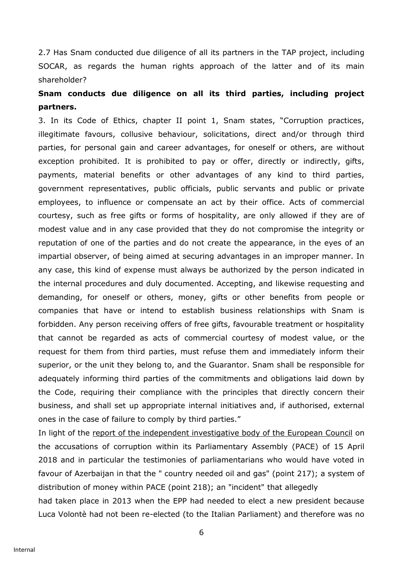2.7 Has Snam conducted due diligence of all its partners in the TAP project, including SOCAR, as regards the human rights approach of the latter and of its main shareholder?

# **Snam conducts due diligence on all its third parties, including project partners.**

3. In its Code of Ethics, chapter II point 1, Snam states, "Corruption practices, illegitimate favours, collusive behaviour, solicitations, direct and/or through third parties, for personal gain and career advantages, for oneself or others, are without exception prohibited. It is prohibited to pay or offer, directly or indirectly, gifts, payments, material benefits or other advantages of any kind to third parties, government representatives, public officials, public servants and public or private employees, to influence or compensate an act by their office. Acts of commercial courtesy, such as free gifts or forms of hospitality, are only allowed if they are of modest value and in any case provided that they do not compromise the integrity or reputation of one of the parties and do not create the appearance, in the eyes of an impartial observer, of being aimed at securing advantages in an improper manner. In any case, this kind of expense must always be authorized by the person indicated in the internal procedures and duly documented. Accepting, and likewise requesting and demanding, for oneself or others, money, gifts or other benefits from people or companies that have or intend to establish business relationships with Snam is forbidden. Any person receiving offers of free gifts, favourable treatment or hospitality that cannot be regarded as acts of commercial courtesy of modest value, or the request for them from third parties, must refuse them and immediately inform their superior, or the unit they belong to, and the Guarantor. Snam shall be responsible for adequately informing third parties of the commitments and obligations laid down by the Code, requiring their compliance with the principles that directly concern their business, and shall set up appropriate internal initiatives and, if authorised, external ones in the case of failure to comply by third parties."

In light of the [report of the independent investigative body of the European Council](http://assembly.coe.int/Communication/IBAC/IBAC-GIAC-Report-EN.pdf) on the accusations of corruption within its Parliamentary Assembly (PACE) of 15 April 2018 and in particular the testimonies of parliamentarians who would have voted in favour of Azerbaijan in that the " country needed oil and gas" (point 217); a system of distribution of money within PACE (point 218); an "incident" that allegedly had taken place in 2013 when the EPP had needed to elect a new president because Luca Volontè had not been re-elected (to the Italian Parliament) and therefore was no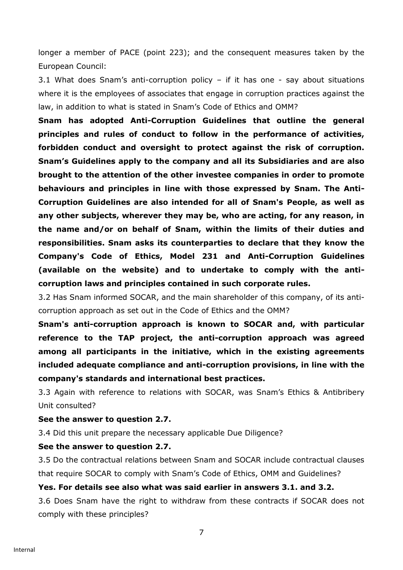longer a member of PACE (point 223); and the consequent measures taken by the European Council:

3.1 What does Snam's anti-corruption policy – if it has one - say about situations where it is the employees of associates that engage in corruption practices against the law, in addition to what is stated in Snam's Code of Ethics and OMM?

**Snam has adopted Anti-Corruption Guidelines that outline the general principles and rules of conduct to follow in the performance of activities, forbidden conduct and oversight to protect against the risk of corruption. Snam's Guidelines apply to the company and all its Subsidiaries and are also brought to the attention of the other investee companies in order to promote behaviours and principles in line with those expressed by Snam. The Anti-Corruption Guidelines are also intended for all of Snam's People, as well as any other subjects, wherever they may be, who are acting, for any reason, in the name and/or on behalf of Snam, within the limits of their duties and responsibilities. Snam asks its counterparties to declare that they know the Company's Code of Ethics, Model 231 and Anti-Corruption Guidelines (available on the website) and to undertake to comply with the anticorruption laws and principles contained in such corporate rules.** 

3.2 Has Snam informed SOCAR, and the main shareholder of this company, of its anticorruption approach as set out in the Code of Ethics and the OMM?

**Snam's anti-corruption approach is known to SOCAR and, with particular reference to the TAP project, the anti-corruption approach was agreed among all participants in the initiative, which in the existing agreements included adequate compliance and anti-corruption provisions, in line with the company's standards and international best practices.**

3.3 Again with reference to relations with SOCAR, was Snam's Ethics & Antibribery Unit consulted?

#### **See the answer to question 2.7.**

3.4 Did this unit prepare the necessary applicable Due Diligence?

#### **See the answer to question 2.7.**

3.5 Do the contractual relations between Snam and SOCAR include contractual clauses that require SOCAR to comply with Snam's Code of Ethics, OMM and Guidelines?

#### **Yes. For details see also what was said earlier in answers 3.1. and 3.2.**

3.6 Does Snam have the right to withdraw from these contracts if SOCAR does not comply with these principles?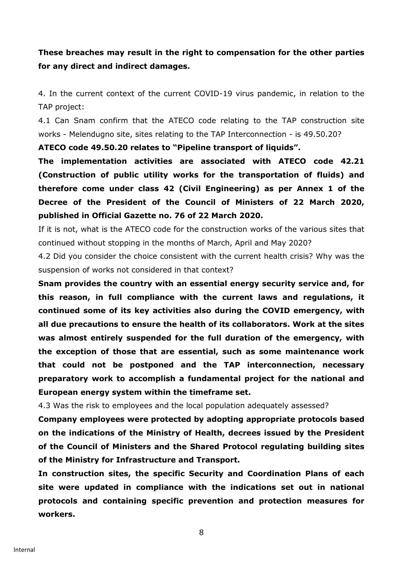# **These breaches may result in the right to compensation for the other parties for any direct and indirect damages.**

4. In the current context of the current COVID-19 virus pandemic, in relation to the TAP project:

4.1 Can Snam confirm that the ATECO code relating to the TAP construction site works - Melendugno site, sites relating to the TAP Interconnection - is 49.50.20?

**ATECO code 49.50.20 relates to "Pipeline transport of liquids".**

**The implementation activities are associated with ATECO code 42.21 (Construction of public utility works for the transportation of fluids) and therefore come under class 42 (Civil Engineering) as per Annex 1 of the Decree of the President of the Council of Ministers of 22 March 2020, published in Official Gazette no. 76 of 22 March 2020.**

If it is not, what is the ATECO code for the construction works of the various sites that continued without stopping in the months of March, April and May 2020?

4.2 Did you consider the choice consistent with the current health crisis? Why was the suspension of works not considered in that context?

**Snam provides the country with an essential energy security service and, for this reason, in full compliance with the current laws and regulations, it continued some of its key activities also during the COVID emergency, with all due precautions to ensure the health of its collaborators. Work at the sites was almost entirely suspended for the full duration of the emergency, with the exception of those that are essential, such as some maintenance work that could not be postponed and the TAP interconnection, necessary preparatory work to accomplish a fundamental project for the national and European energy system within the timeframe set.**

4.3 Was the risk to employees and the local population adequately assessed?

**Company employees were protected by adopting appropriate protocols based on the indications of the Ministry of Health, decrees issued by the President of the Council of Ministers and the Shared Protocol regulating building sites of the Ministry for Infrastructure and Transport.**

**In construction sites, the specific Security and Coordination Plans of each site were updated in compliance with the indications set out in national protocols and containing specific prevention and protection measures for workers.**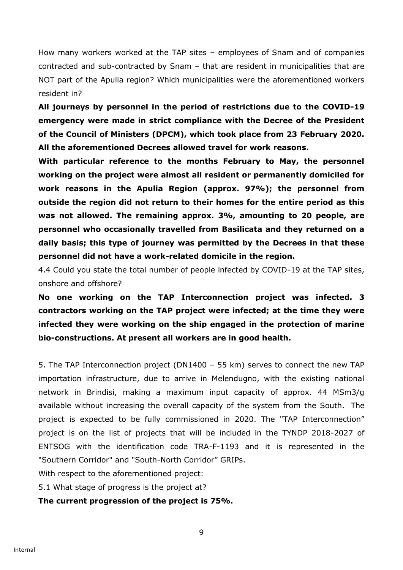How many workers worked at the TAP sites – employees of Snam and of companies contracted and sub-contracted by Snam – that are resident in municipalities that are NOT part of the Apulia region? Which municipalities were the aforementioned workers resident in?

**All journeys by personnel in the period of restrictions due to the COVID-19 emergency were made in strict compliance with the Decree of the President of the Council of Ministers (DPCM), which took place from 23 February 2020. All the aforementioned Decrees allowed travel for work reasons.**

**With particular reference to the months February to May, the personnel working on the project were almost all resident or permanently domiciled for work reasons in the Apulia Region (approx. 97%); the personnel from outside the region did not return to their homes for the entire period as this was not allowed. The remaining approx. 3%, amounting to 20 people, are personnel who occasionally travelled from Basilicata and they returned on a daily basis; this type of journey was permitted by the Decrees in that these personnel did not have a work-related domicile in the region.**

4.4 Could you state the total number of people infected by COVID-19 at the TAP sites, onshore and offshore?

**No one working on the TAP Interconnection project was infected. 3 contractors working on the TAP project were infected; at the time they were infected they were working on the ship engaged in the protection of marine bio-constructions. At present all workers are in good health.**

5. The TAP Interconnection project (DN1400 – 55 km) serves to connect the new TAP importation infrastructure, due to arrive in Melendugno, with the existing national network in Brindisi, making a maximum input capacity of approx. 44 MSm3/g available without increasing the overall capacity of the system from the South. The project is expected to be fully commissioned in 2020. The "TAP Interconnection" project is on the list of projects that will be included in the TYNDP 2018-2027 of ENTSOG with the identification code TRA-F-1193 and it is represented in the "Southern Corridor" and "South-North Corridor" GRIPs.

With respect to the aforementioned project:

5.1 What stage of progress is the project at?

### **The current progression of the project is 75%.**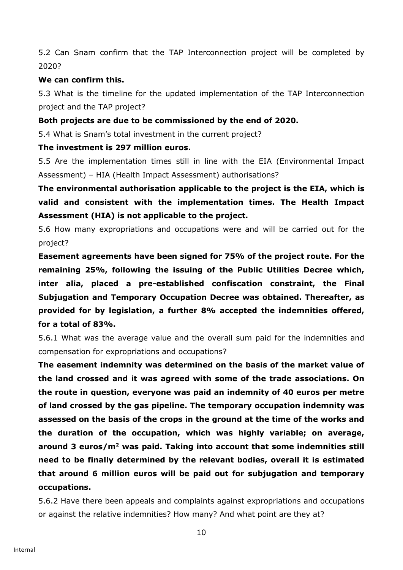5.2 Can Snam confirm that the TAP Interconnection project will be completed by 2020?

### **We can confirm this.**

5.3 What is the timeline for the updated implementation of the TAP Interconnection project and the TAP project?

### **Both projects are due to be commissioned by the end of 2020.**

5.4 What is Snam's total investment in the current project?

#### **The investment is 297 million euros.**

5.5 Are the implementation times still in line with the EIA (Environmental Impact Assessment) – HIA (Health Impact Assessment) authorisations?

**The environmental authorisation applicable to the project is the EIA, which is valid and consistent with the implementation times. The Health Impact Assessment (HIA) is not applicable to the project.**

5.6 How many expropriations and occupations were and will be carried out for the project?

**Easement agreements have been signed for 75% of the project route. For the remaining 25%, following the issuing of the Public Utilities Decree which, inter alia, placed a pre-established confiscation constraint, the Final Subjugation and Temporary Occupation Decree was obtained. Thereafter, as provided for by legislation, a further 8% accepted the indemnities offered, for a total of 83%.**

5.6.1 What was the average value and the overall sum paid for the indemnities and compensation for expropriations and occupations?

**The easement indemnity was determined on the basis of the market value of the land crossed and it was agreed with some of the trade associations. On the route in question, everyone was paid an indemnity of 40 euros per metre of land crossed by the gas pipeline. The temporary occupation indemnity was assessed on the basis of the crops in the ground at the time of the works and the duration of the occupation, which was highly variable; on average, around 3 euros/m<sup>2</sup> was paid. Taking into account that some indemnities still need to be finally determined by the relevant bodies, overall it is estimated that around 6 million euros will be paid out for subjugation and temporary occupations.** 

5.6.2 Have there been appeals and complaints against expropriations and occupations or against the relative indemnities? How many? And what point are they at?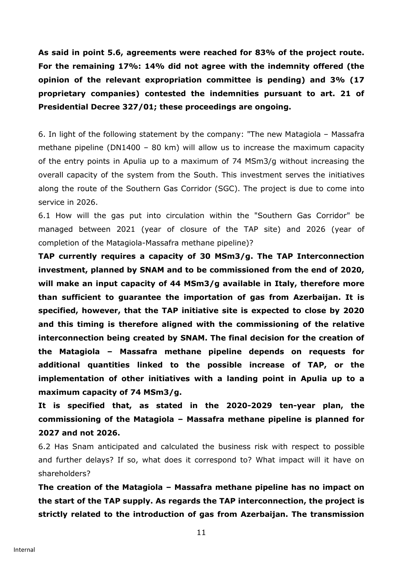**As said in point 5.6, agreements were reached for 83% of the project route. For the remaining 17%: 14% did not agree with the indemnity offered (the opinion of the relevant expropriation committee is pending) and 3% (17 proprietary companies) contested the indemnities pursuant to art. 21 of Presidential Decree 327/01; these proceedings are ongoing.**

6. In light of the following statement by the company: "The new Matagiola – Massafra methane pipeline (DN1400 – 80 km) will allow us to increase the maximum capacity of the entry points in Apulia up to a maximum of 74 MSm3/g without increasing the overall capacity of the system from the South. This investment serves the initiatives along the route of the Southern Gas Corridor (SGC). The project is due to come into service in 2026.

6.1 How will the gas put into circulation within the "Southern Gas Corridor" be managed between 2021 (year of closure of the TAP site) and 2026 (year of completion of the Matagiola-Massafra methane pipeline)?

**TAP currently requires a capacity of 30 MSm3/g. The TAP Interconnection investment, planned by SNAM and to be commissioned from the end of 2020, will make an input capacity of 44 MSm3/g available in Italy, therefore more than sufficient to guarantee the importation of gas from Azerbaijan. It is specified, however, that the TAP initiative site is expected to close by 2020 and this timing is therefore aligned with the commissioning of the relative interconnection being created by SNAM. The final decision for the creation of the Matagiola – Massafra methane pipeline depends on requests for additional quantities linked to the possible increase of TAP, or the implementation of other initiatives with a landing point in Apulia up to a maximum capacity of 74 MSm3/g.**

**It is specified that, as stated in the 2020-2029 ten-year plan, the commissioning of the Matagiola – Massafra methane pipeline is planned for 2027 and not 2026.**

6.2 Has Snam anticipated and calculated the business risk with respect to possible and further delays? If so, what does it correspond to? What impact will it have on shareholders?

**The creation of the Matagiola – Massafra methane pipeline has no impact on the start of the TAP supply. As regards the TAP interconnection, the project is strictly related to the introduction of gas from Azerbaijan. The transmission**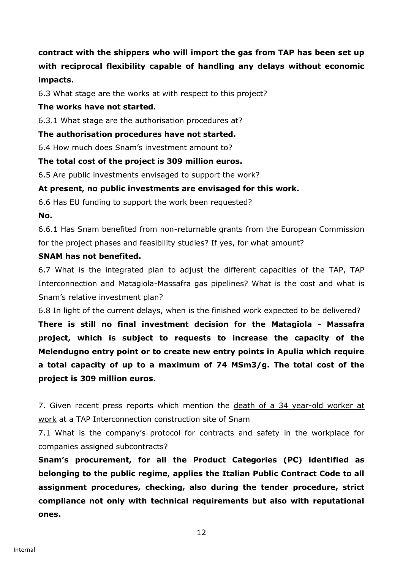**contract with the shippers who will import the gas from TAP has been set up with reciprocal flexibility capable of handling any delays without economic impacts.**

6.3 What stage are the works at with respect to this project?

### **The works have not started.**

6.3.1 What stage are the authorisation procedures at?

### **The authorisation procedures have not started.**

6.4 How much does Snam's investment amount to?

### **The total cost of the project is 309 million euros.**

6.5 Are public investments envisaged to support the work?

### **At present, no public investments are envisaged for this work.**

6.6 Has EU funding to support the work been requested?

**No.**

6.6.1 Has Snam benefited from non-returnable grants from the European Commission for the project phases and feasibility studies? If yes, for what amount?

### **SNAM has not benefited.**

6.7 What is the integrated plan to adjust the different capacities of the TAP, TAP Interconnection and Matagiola-Massafra gas pipelines? What is the cost and what is Snam's relative investment plan?

6.8 In light of the current delays, when is the finished work expected to be delivered?

**There is still no final investment decision for the Matagiola - Massafra project, which is subject to requests to increase the capacity of the Melendugno entry point or to create new entry points in Apulia which require a total capacity of up to a maximum of 74 MSm3/g. The total cost of the project is 309 million euros.**

7. Given recent press reports which mention the death of a [34 year-old worker at](https://www.ilfattoquotidiano.it/2020/05/27/snam-tap-incidente-nel-cantiere-in-salento-morto-un-operaio-di-34-anni-non-doveva-trovarsi-li-durante-le-manovre/5815264/)  [work](https://www.ilfattoquotidiano.it/2020/05/27/snam-tap-incidente-nel-cantiere-in-salento-morto-un-operaio-di-34-anni-non-doveva-trovarsi-li-durante-le-manovre/5815264/) at a TAP Interconnection construction site of Snam

7.1 What is the company's protocol for contracts and safety in the workplace for companies assigned subcontracts?

**Snam's procurement, for all the Product Categories (PC) identified as belonging to the public regime, applies the Italian Public Contract Code to all assignment procedures, checking, also during the tender procedure, strict compliance not only with technical requirements but also with reputational ones.**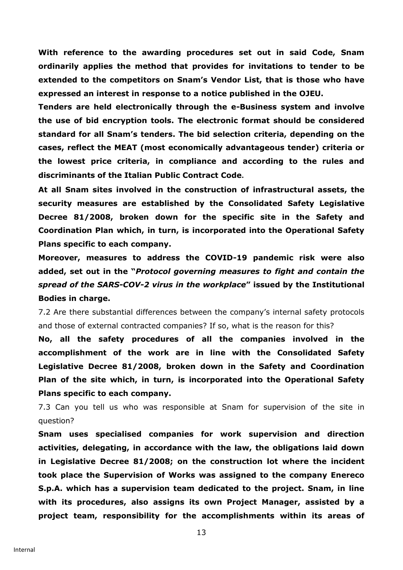**With reference to the awarding procedures set out in said Code, Snam ordinarily applies the method that provides for invitations to tender to be extended to the competitors on Snam's Vendor List, that is those who have expressed an interest in response to a notice published in the OJEU.**

**Tenders are held electronically through the e-Business system and involve the use of bid encryption tools. The electronic format should be considered standard for all Snam's tenders. The bid selection criteria, depending on the cases, reflect the MEAT (most economically advantageous tender) criteria or the lowest price criteria, in compliance and according to the rules and discriminants of the Italian Public Contract Code.**

**At all Snam sites involved in the construction of infrastructural assets, the security measures are established by the Consolidated Safety Legislative Decree 81/2008, broken down for the specific site in the Safety and Coordination Plan which, in turn, is incorporated into the Operational Safety Plans specific to each company.**

**Moreover, measures to address the COVID-19 pandemic risk were also added, set out in the "***Protocol governing measures to fight and contain the spread of the SARS-COV-2 virus in the workplace***" issued by the Institutional Bodies in charge.**

7.2 Are there substantial differences between the company's internal safety protocols and those of external contracted companies? If so, what is the reason for this?

**No, all the safety procedures of all the companies involved in the accomplishment of the work are in line with the Consolidated Safety Legislative Decree 81/2008, broken down in the Safety and Coordination Plan of the site which, in turn, is incorporated into the Operational Safety Plans specific to each company.**

7.3 Can you tell us who was responsible at Snam for supervision of the site in question?

**Snam uses specialised companies for work supervision and direction activities, delegating, in accordance with the law, the obligations laid down in Legislative Decree 81/2008; on the construction lot where the incident took place the Supervision of Works was assigned to the company Enereco S.p.A. which has a supervision team dedicated to the project. Snam, in line with its procedures, also assigns its own Project Manager, assisted by a project team, responsibility for the accomplishments within its areas of**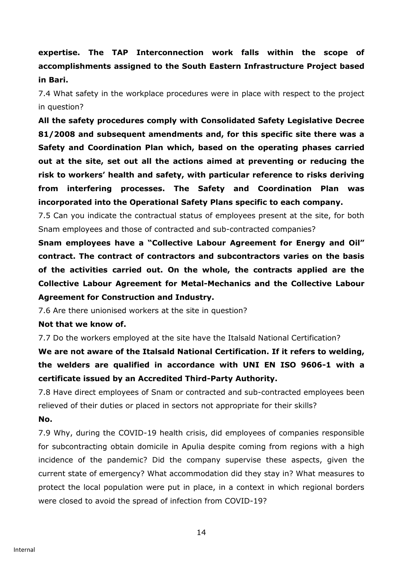**expertise. The TAP Interconnection work falls within the scope of accomplishments assigned to the South Eastern Infrastructure Project based in Bari.**

7.4 What safety in the workplace procedures were in place with respect to the project in question?

**All the safety procedures comply with Consolidated Safety Legislative Decree 81/2008 and subsequent amendments and, for this specific site there was a Safety and Coordination Plan which, based on the operating phases carried out at the site, set out all the actions aimed at preventing or reducing the risk to workers' health and safety, with particular reference to risks deriving from interfering processes. The Safety and Coordination Plan was incorporated into the Operational Safety Plans specific to each company.**

7.5 Can you indicate the contractual status of employees present at the site, for both Snam employees and those of contracted and sub-contracted companies?

**Snam employees have a "Collective Labour Agreement for Energy and Oil" contract. The contract of contractors and subcontractors varies on the basis of the activities carried out. On the whole, the contracts applied are the Collective Labour Agreement for Metal-Mechanics and the Collective Labour Agreement for Construction and Industry.**

7.6 Are there unionised workers at the site in question?

### **Not that we know of.**

7.7 Do the workers employed at the site have the Italsald National Certification?

**We are not aware of the Italsald National Certification. If it refers to welding, the welders are qualified in accordance with UNI EN ISO 9606-1 with a certificate issued by an Accredited Third-Party Authority.**

7.8 Have direct employees of Snam or contracted and sub-contracted employees been relieved of their duties or placed in sectors not appropriate for their skills? **No.**

7.9 Why, during the COVID-19 health crisis, did employees of companies responsible for subcontracting obtain domicile in Apulia despite coming from regions with a high incidence of the pandemic? Did the company supervise these aspects, given the current state of emergency? What accommodation did they stay in? What measures to protect the local population were put in place, in a context in which regional borders were closed to avoid the spread of infection from COVID-19?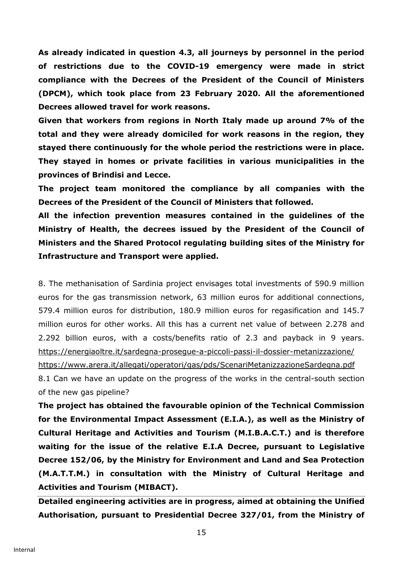**As already indicated in question 4.3, all journeys by personnel in the period of restrictions due to the COVID-19 emergency were made in strict compliance with the Decrees of the President of the Council of Ministers (DPCM), which took place from 23 February 2020. All the aforementioned Decrees allowed travel for work reasons.**

**Given that workers from regions in North Italy made up around 7% of the total and they were already domiciled for work reasons in the region, they stayed there continuously for the whole period the restrictions were in place. They stayed in homes or private facilities in various municipalities in the provinces of Brindisi and Lecce.**

**The project team monitored the compliance by all companies with the Decrees of the President of the Council of Ministers that followed.** 

**All the infection prevention measures contained in the guidelines of the Ministry of Health, the decrees issued by the President of the Council of Ministers and the Shared Protocol regulating building sites of the Ministry for Infrastructure and Transport were applied.**

8. The methanisation of Sardinia project envisages total investments of 590.9 million euros for the gas transmission network, 63 million euros for additional connections, 579.4 million euros for distribution, 180.9 million euros for regasification and 145.7 million euros for other works. All this has a current net value of between 2.278 and 2.292 billion euros, with a costs/benefits ratio of 2.3 and payback in 9 years. <https://energiaoltre.it/sardegna-prosegue-a-piccoli-passi-il-dossier-metanizzazione/> <https://www.arera.it/allegati/operatori/gas/pds/ScenariMetanizzazioneSardegna.pdf> 8.1 Can we have an update on the progress of the works in the central-south section of the new gas pipeline?

**The project has obtained the favourable opinion of the Technical Commission for the Environmental Impact Assessment (E.I.A.), as well as the Ministry of Cultural Heritage and Activities and Tourism (M.I.B.A.C.T.) and is therefore waiting for the issue of the relative E.I.A Decree, pursuant to Legislative Decree 152/06, by the Ministry for Environment and Land and Sea Protection (M.A.T.T.M.) in consultation with the Ministry of Cultural Heritage and Activities and Tourism (MIBACT).**

**Detailed engineering activities are in progress, aimed at obtaining the Unified Authorisation, pursuant to Presidential Decree 327/01, from the Ministry of**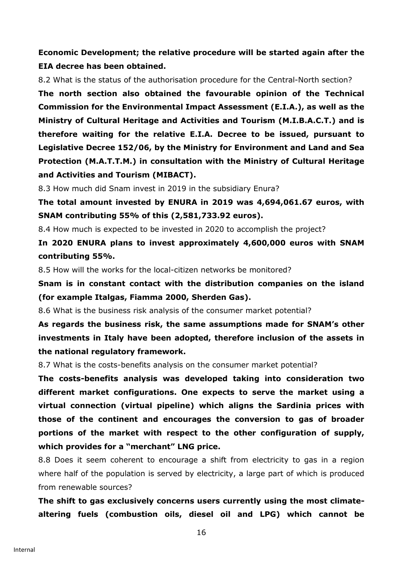# **Economic Development; the relative procedure will be started again after the EIA decree has been obtained.**

8.2 What is the status of the authorisation procedure for the Central-North section?

**The north section also obtained the favourable opinion of the Technical Commission for the Environmental Impact Assessment (E.I.A.), as well as the Ministry of Cultural Heritage and Activities and Tourism (M.I.B.A.C.T.) and is therefore waiting for the relative E.I.A. Decree to be issued, pursuant to Legislative Decree 152/06, by the Ministry for Environment and Land and Sea Protection (M.A.T.T.M.) in consultation with the Ministry of Cultural Heritage and Activities and Tourism (MIBACT).** 

8.3 How much did Snam invest in 2019 in the subsidiary Enura?

**The total amount invested by ENURA in 2019 was 4,694,061.67 euros, with SNAM contributing 55% of this (2,581,733.92 euros).**

8.4 How much is expected to be invested in 2020 to accomplish the project?

**In 2020 ENURA plans to invest approximately 4,600,000 euros with SNAM contributing 55%.**

8.5 How will the works for the local-citizen networks be monitored?

**Snam is in constant contact with the distribution companies on the island (for example Italgas, Fiamma 2000, Sherden Gas).**

8.6 What is the business risk analysis of the consumer market potential?

**As regards the business risk, the same assumptions made for SNAM's other investments in Italy have been adopted, therefore inclusion of the assets in the national regulatory framework.** 

8.7 What is the costs-benefits analysis on the consumer market potential?

**The costs-benefits analysis was developed taking into consideration two different market configurations. One expects to serve the market using a virtual connection (virtual pipeline) which aligns the Sardinia prices with those of the continent and encourages the conversion to gas of broader portions of the market with respect to the other configuration of supply, which provides for a "merchant" LNG price.**

8.8 Does it seem coherent to encourage a shift from electricity to gas in a region where half of the population is served by electricity, a large part of which is produced from renewable sources?

**The shift to gas exclusively concerns users currently using the most climatealtering fuels (combustion oils, diesel oil and LPG) which cannot be**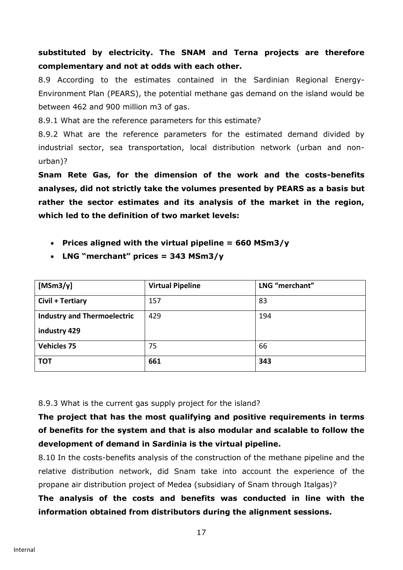# **substituted by electricity. The SNAM and Terna projects are therefore complementary and not at odds with each other.**

8.9 According to the estimates contained in the Sardinian Regional Energy-Environment Plan (PEARS), the potential methane gas demand on the island would be between 462 and 900 million m3 of gas.

8.9.1 What are the reference parameters for this estimate?

8.9.2 What are the reference parameters for the estimated demand divided by industrial sector, sea transportation, local distribution network (urban and nonurban)?

**Snam Rete Gas, for the dimension of the work and the costs-benefits analyses, did not strictly take the volumes presented by PEARS as a basis but rather the sector estimates and its analysis of the market in the region, which led to the definition of two market levels:**

- **Prices aligned with the virtual pipeline = 660 MSm3/y**
- **LNG "merchant" prices = 343 MSm3/y**

| [ $MSm3/y$ ]                       | <b>Virtual Pipeline</b> | LNG "merchant" |
|------------------------------------|-------------------------|----------------|
| Civil + Tertiary                   | 157                     | 83             |
| <b>Industry and Thermoelectric</b> | 429                     | 194            |
| industry 429                       |                         |                |
| <b>Vehicles 75</b>                 | 75                      | 66             |
| <b>TOT</b>                         | 661                     | 343            |

8.9.3 What is the current gas supply project for the island?

# **The project that has the most qualifying and positive requirements in terms of benefits for the system and that is also modular and scalable to follow the development of demand in Sardinia is the virtual pipeline.**

8.10 In the costs-benefits analysis of the construction of the methane pipeline and the relative distribution network, did Snam take into account the experience of the propane air distribution project of Medea (subsidiary of Snam through Italgas)?

**The analysis of the costs and benefits was conducted in line with the information obtained from distributors during the alignment sessions.**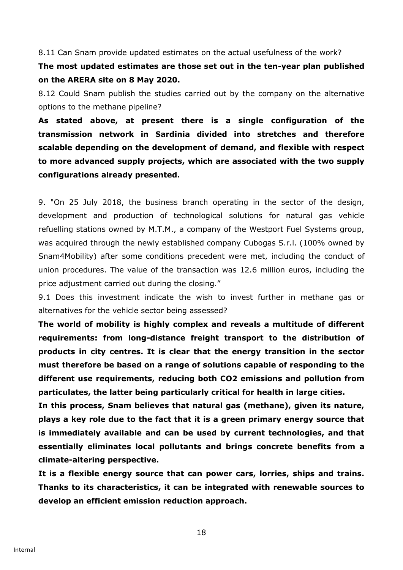8.11 Can Snam provide updated estimates on the actual usefulness of the work?

**The most updated estimates are those set out in the ten-year plan published on the ARERA site on 8 May 2020.**

8.12 Could Snam publish the studies carried out by the company on the alternative options to the methane pipeline?

**As stated above, at present there is a single configuration of the transmission network in Sardinia divided into stretches and therefore scalable depending on the development of demand, and flexible with respect to more advanced supply projects, which are associated with the two supply configurations already presented.**

9. "On 25 July 2018, the business branch operating in the sector of the design, development and production of technological solutions for natural gas vehicle refuelling stations owned by M.T.M., a company of the Westport Fuel Systems group, was acquired through the newly established company Cubogas S.r.l. (100% owned by Snam4Mobility) after some conditions precedent were met, including the conduct of union procedures. The value of the transaction was 12.6 million euros, including the price adjustment carried out during the closing."

9.1 Does this investment indicate the wish to invest further in methane gas or alternatives for the vehicle sector being assessed?

**The world of mobility is highly complex and reveals a multitude of different requirements: from long-distance freight transport to the distribution of products in city centres. It is clear that the energy transition in the sector must therefore be based on a range of solutions capable of responding to the different use requirements, reducing both CO2 emissions and pollution from particulates, the latter being particularly critical for health in large cities.**

**In this process, Snam believes that natural gas (methane), given its nature, plays a key role due to the fact that it is a green primary energy source that is immediately available and can be used by current technologies, and that essentially eliminates local pollutants and brings concrete benefits from a climate-altering perspective.** 

**It is a flexible energy source that can power cars, lorries, ships and trains. Thanks to its characteristics, it can be integrated with renewable sources to develop an efficient emission reduction approach.**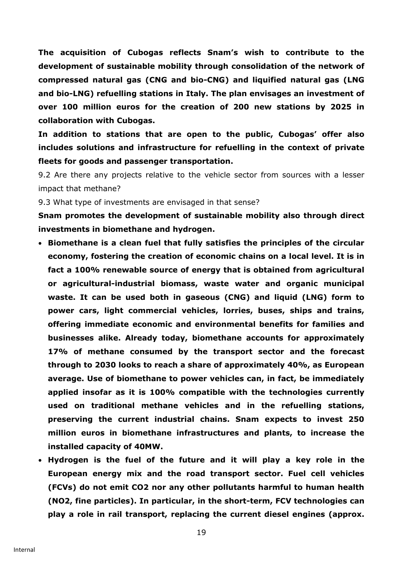**The acquisition of Cubogas reflects Snam's wish to contribute to the development of sustainable mobility through consolidation of the network of compressed natural gas (CNG and bio-CNG) and liquified natural gas (LNG and bio-LNG) refuelling stations in Italy. The plan envisages an investment of over 100 million euros for the creation of 200 new stations by 2025 in collaboration with Cubogas.** 

**In addition to stations that are open to the public, Cubogas' offer also includes solutions and infrastructure for refuelling in the context of private fleets for goods and passenger transportation.**

9.2 Are there any projects relative to the vehicle sector from sources with a lesser impact that methane?

9.3 What type of investments are envisaged in that sense?

**Snam promotes the development of sustainable mobility also through direct investments in biomethane and hydrogen.**

- **Biomethane is a clean fuel that fully satisfies the principles of the circular economy, fostering the creation of economic chains on a local level. It is in fact a 100% renewable source of energy that is obtained from agricultural or agricultural-industrial biomass, waste water and organic municipal waste. It can be used both in gaseous (CNG) and liquid (LNG) form to power cars, light commercial vehicles, lorries, buses, ships and trains, offering immediate economic and environmental benefits for families and businesses alike. Already today, biomethane accounts for approximately 17% of methane consumed by the transport sector and the forecast through to 2030 looks to reach a share of approximately 40%, as European average. Use of biomethane to power vehicles can, in fact, be immediately applied insofar as it is 100% compatible with the technologies currently used on traditional methane vehicles and in the refuelling stations, preserving the current industrial chains. Snam expects to invest 250 million euros in biomethane infrastructures and plants, to increase the installed capacity of 40MW.**
- **Hydrogen is the fuel of the future and it will play a key role in the European energy mix and the road transport sector. Fuel cell vehicles (FCVs) do not emit CO2 nor any other pollutants harmful to human health (NO2, fine particles). In particular, in the short-term, FCV technologies can play a role in rail transport, replacing the current diesel engines (approx.**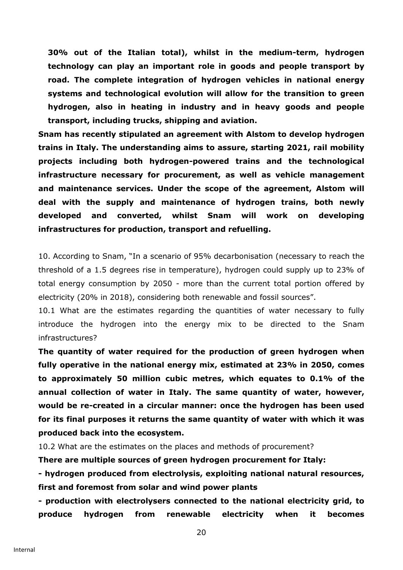**30% out of the Italian total), whilst in the medium-term, hydrogen technology can play an important role in goods and people transport by road. The complete integration of hydrogen vehicles in national energy systems and technological evolution will allow for the transition to green hydrogen, also in heating in industry and in heavy goods and people transport, including trucks, shipping and aviation.** 

**Snam has recently stipulated an agreement with Alstom to develop hydrogen trains in Italy. The understanding aims to assure, starting 2021, rail mobility projects including both hydrogen-powered trains and the technological infrastructure necessary for procurement, as well as vehicle management and maintenance services. Under the scope of the agreement, Alstom will deal with the supply and maintenance of hydrogen trains, both newly developed and converted, whilst Snam will work on developing infrastructures for production, transport and refuelling.**

10. According to Snam, "In a scenario of 95% decarbonisation (necessary to reach the threshold of a 1.5 degrees rise in temperature), hydrogen could supply up to 23% of total energy consumption by 2050 - more than the current total portion offered by electricity (20% in 2018), considering both renewable and fossil sources".

10.1 What are the estimates regarding the quantities of water necessary to fully introduce the hydrogen into the energy mix to be directed to the Snam infrastructures?

**The quantity of water required for the production of green hydrogen when fully operative in the national energy mix, estimated at 23% in 2050, comes to approximately 50 million cubic metres, which equates to 0.1% of the annual collection of water in Italy. The same quantity of water, however, would be re-created in a circular manner: once the hydrogen has been used for its final purposes it returns the same quantity of water with which it was produced back into the ecosystem.**

10.2 What are the estimates on the places and methods of procurement?

**There are multiple sources of green hydrogen procurement for Italy:**

**- hydrogen produced from electrolysis, exploiting national natural resources, first and foremost from solar and wind power plants**

**- production with electrolysers connected to the national electricity grid, to produce hydrogen from renewable electricity when it becomes**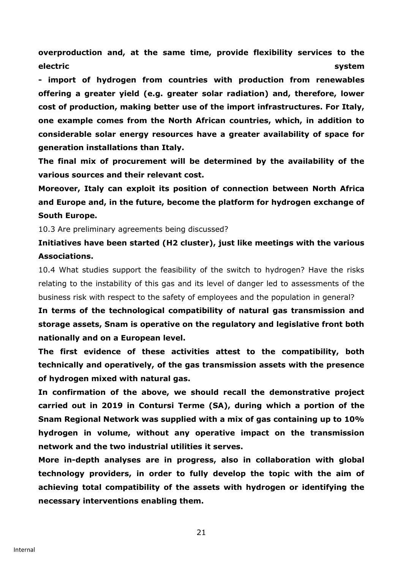**overproduction and, at the same time, provide flexibility services to the electric system**

**- import of hydrogen from countries with production from renewables offering a greater yield (e.g. greater solar radiation) and, therefore, lower cost of production, making better use of the import infrastructures. For Italy, one example comes from the North African countries, which, in addition to considerable solar energy resources have a greater availability of space for generation installations than Italy.**

**The final mix of procurement will be determined by the availability of the various sources and their relevant cost.**

**Moreover, Italy can exploit its position of connection between North Africa and Europe and, in the future, become the platform for hydrogen exchange of South Europe.**

10.3 Are preliminary agreements being discussed?

**Initiatives have been started (H2 cluster), just like meetings with the various Associations.**

10.4 What studies support the feasibility of the switch to hydrogen? Have the risks relating to the instability of this gas and its level of danger led to assessments of the business risk with respect to the safety of employees and the population in general?

**In terms of the technological compatibility of natural gas transmission and storage assets, Snam is operative on the regulatory and legislative front both nationally and on a European level.** 

**The first evidence of these activities attest to the compatibility, both technically and operatively, of the gas transmission assets with the presence of hydrogen mixed with natural gas.**

**In confirmation of the above, we should recall the demonstrative project carried out in 2019 in Contursi Terme (SA), during which a portion of the Snam Regional Network was supplied with a mix of gas containing up to 10% hydrogen in volume, without any operative impact on the transmission network and the two industrial utilities it serves.**

**More in-depth analyses are in progress, also in collaboration with global technology providers, in order to fully develop the topic with the aim of achieving total compatibility of the assets with hydrogen or identifying the necessary interventions enabling them.**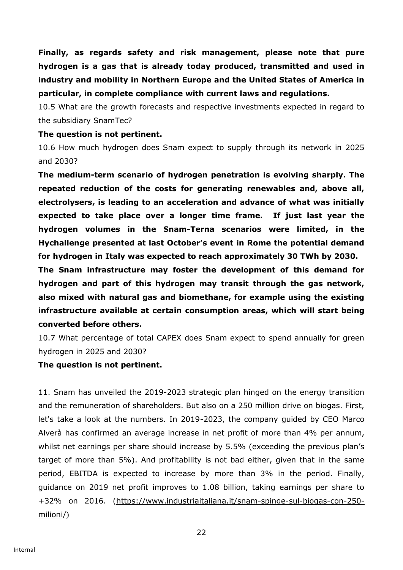**Finally, as regards safety and risk management, please note that pure hydrogen is a gas that is already today produced, transmitted and used in industry and mobility in Northern Europe and the United States of America in particular, in complete compliance with current laws and regulations.**

10.5 What are the growth forecasts and respective investments expected in regard to the subsidiary SnamTec?

#### **The question is not pertinent.**

10.6 How much hydrogen does Snam expect to supply through its network in 2025 and 2030?

**The medium-term scenario of hydrogen penetration is evolving sharply. The repeated reduction of the costs for generating renewables and, above all, electrolysers, is leading to an acceleration and advance of what was initially expected to take place over a longer time frame. If just last year the hydrogen volumes in the Snam-Terna scenarios were limited, in the Hychallenge presented at last October's event in Rome the potential demand for hydrogen in Italy was expected to reach approximately 30 TWh by 2030.**

**The Snam infrastructure may foster the development of this demand for hydrogen and part of this hydrogen may transit through the gas network, also mixed with natural gas and biomethane, for example using the existing infrastructure available at certain consumption areas, which will start being converted before others.** 

10.7 What percentage of total CAPEX does Snam expect to spend annually for green hydrogen in 2025 and 2030?

### **The question is not pertinent.**

11. Snam has unveiled the 2019-2023 strategic plan hinged on the energy transition and the remuneration of shareholders. But also on a 250 million drive on biogas. First, let's take a look at the numbers. In 2019-2023, the company guided by CEO Marco Alverà has confirmed an average increase in net profit of more than 4% per annum, whilst net earnings per share should increase by 5.5% (exceeding the previous plan's target of more than 5%). And profitability is not bad either, given that in the same period, EBITDA is expected to increase by more than 3% in the period. Finally, guidance on 2019 net profit improves to 1.08 billion, taking earnings per share to +32% on 2016. [\(https://www.industriaitaliana.it/snam-spinge-sul-biogas-con-250](https://www.industriaitaliana.it/snam-spinge-sul-biogas-con-250-milioni/)) [milioni/](https://www.industriaitaliana.it/snam-spinge-sul-biogas-con-250-milioni/)))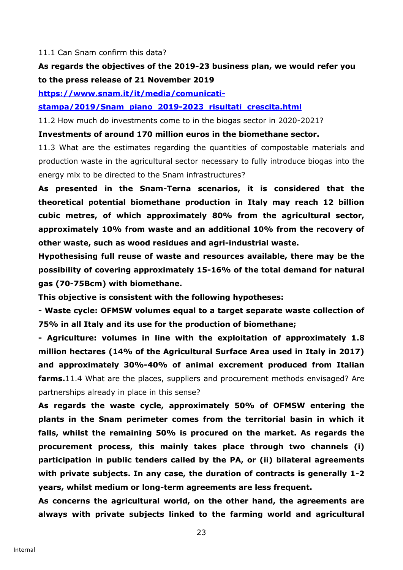#### 11.1 Can Snam confirm this data?

# **As regards the objectives of the 2019-23 business plan, we would refer you to the press release of 21 November 2019**

**[https://www.snam.it/it/media/comunicati-](https://www.snam.it/it/media/comunicati-stampa/2019/Snam_piano_2019-2023_risultati_crescita.html)**

**[stampa/2019/Snam\\_piano\\_2019-2023\\_risultati\\_crescita.html](https://www.snam.it/it/media/comunicati-stampa/2019/Snam_piano_2019-2023_risultati_crescita.html)**

11.2 How much do investments come to in the biogas sector in 2020-2021?

#### **Investments of around 170 million euros in the biomethane sector.**

11.3 What are the estimates regarding the quantities of compostable materials and production waste in the agricultural sector necessary to fully introduce biogas into the energy mix to be directed to the Snam infrastructures?

**As presented in the Snam-Terna scenarios, it is considered that the theoretical potential biomethane production in Italy may reach 12 billion cubic metres, of which approximately 80% from the agricultural sector, approximately 10% from waste and an additional 10% from the recovery of other waste, such as wood residues and agri-industrial waste.**

**Hypothesising full reuse of waste and resources available, there may be the possibility of covering approximately 15-16% of the total demand for natural gas (70-75Bcm) with biomethane.** 

**This objective is consistent with the following hypotheses:**

**- Waste cycle: OFMSW volumes equal to a target separate waste collection of 75% in all Italy and its use for the production of biomethane;**

**- Agriculture: volumes in line with the exploitation of approximately 1.8 million hectares (14% of the Agricultural Surface Area used in Italy in 2017) and approximately 30%-40% of animal excrement produced from Italian farms.**11.4 What are the places, suppliers and procurement methods envisaged? Are partnerships already in place in this sense?

**As regards the waste cycle, approximately 50% of OFMSW entering the plants in the Snam perimeter comes from the territorial basin in which it falls, whilst the remaining 50% is procured on the market. As regards the procurement process, this mainly takes place through two channels (i) participation in public tenders called by the PA, or (ii) bilateral agreements with private subjects. In any case, the duration of contracts is generally 1-2 years, whilst medium or long-term agreements are less frequent.**

**As concerns the agricultural world, on the other hand, the agreements are always with private subjects linked to the farming world and agricultural**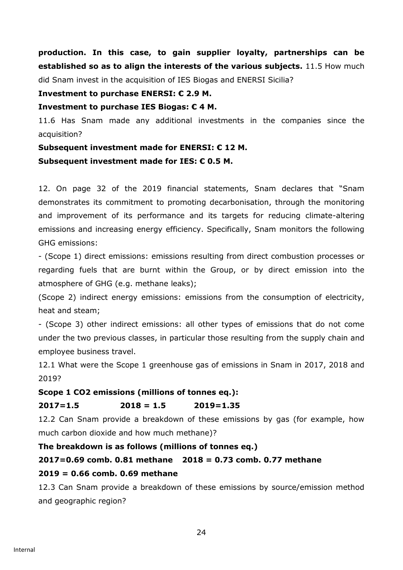**production. In this case, to gain supplier loyalty, partnerships can be established so as to align the interests of the various subjects.** 11.5 How much did Snam invest in the acquisition of IES Biogas and ENERSI Sicilia?

### **Investment to purchase ENERSI: € 2.9 M.**

### **Investment to purchase IES Biogas: € 4 M.**

11.6 Has Snam made any additional investments in the companies since the acquisition?

### **Subsequent investment made for ENERSI: € 12 M.**

### **Subsequent investment made for IES: € 0.5 M.**

12. On page 32 of the 2019 financial statements, Snam declares that "Snam demonstrates its commitment to promoting decarbonisation, through the monitoring and improvement of its performance and its targets for reducing climate-altering emissions and increasing energy efficiency. Specifically, Snam monitors the following GHG emissions:

- (Scope 1) direct emissions: emissions resulting from direct combustion processes or regarding fuels that are burnt within the Group, or by direct emission into the atmosphere of GHG (e.g. methane leaks);

(Scope 2) indirect energy emissions: emissions from the consumption of electricity, heat and steam;

- (Scope 3) other indirect emissions: all other types of emissions that do not come under the two previous classes, in particular those resulting from the supply chain and employee business travel.

12.1 What were the Scope 1 greenhouse gas of emissions in Snam in 2017, 2018 and 2019?

# **Scope 1 CO2 emissions (millions of tonnes eq.):**

# **2017=1.5 2018 = 1.5 2019=1.35**

12.2 Can Snam provide a breakdown of these emissions by gas (for example, how much carbon dioxide and how much methane)?

# **The breakdown is as follows (millions of tonnes eq.)**

# **2017=0.69 comb. 0.81 methane 2018 = 0.73 comb. 0.77 methane**

# **2019 = 0.66 comb. 0.69 methane**

12.3 Can Snam provide a breakdown of these emissions by source/emission method and geographic region?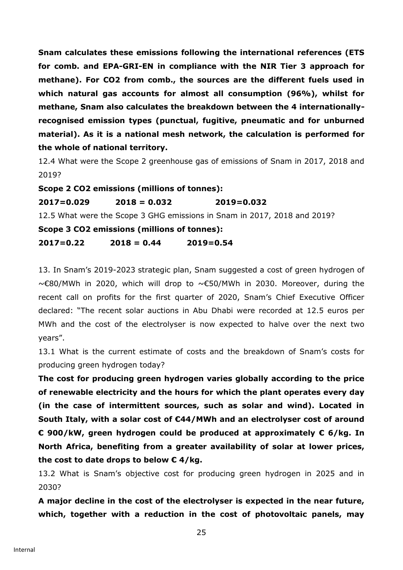**Snam calculates these emissions following the international references (ETS for comb. and EPA-GRI-EN in compliance with the NIR Tier 3 approach for methane). For CO2 from comb., the sources are the different fuels used in which natural gas accounts for almost all consumption (96%), whilst for methane, Snam also calculates the breakdown between the 4 internationallyrecognised emission types (punctual, fugitive, pneumatic and for unburned material). As it is a national mesh network, the calculation is performed for the whole of national territory.**

12.4 What were the Scope 2 greenhouse gas of emissions of Snam in 2017, 2018 and 2019?

**Scope 2 CO2 emissions (millions of tonnes): 2017=0.029 2018 = 0.032 2019=0.032**  12.5 What were the Scope 3 GHG emissions in Snam in 2017, 2018 and 2019? **Scope 3 CO2 emissions (millions of tonnes): 2017=0.22 2018 = 0.44 2019=0.54** 

13. In Snam's 2019-2023 strategic plan, Snam suggested a cost of green hydrogen of ~€80/MWh in 2020, which will drop to ~€50/MWh in 2030. Moreover, during the recent call on profits for the first quarter of 2020, Snam's Chief Executive Officer declared: "The recent solar auctions in Abu Dhabi were recorded at 12.5 euros per MWh and the cost of the electrolyser is now expected to halve over the next two years".

13.1 What is the current estimate of costs and the breakdown of Snam's costs for producing green hydrogen today?

**The cost for producing green hydrogen varies globally according to the price of renewable electricity and the hours for which the plant operates every day (in the case of intermittent sources, such as solar and wind). Located in South Italy, with a solar cost of €44/MWh and an electrolyser cost of around € 900/kW, green hydrogen could be produced at approximately € 6/kg. In North Africa, benefiting from a greater availability of solar at lower prices, the cost to date drops to below € 4/kg.**

13.2 What is Snam's objective cost for producing green hydrogen in 2025 and in 2030?

**A major decline in the cost of the electrolyser is expected in the near future, which, together with a reduction in the cost of photovoltaic panels, may**